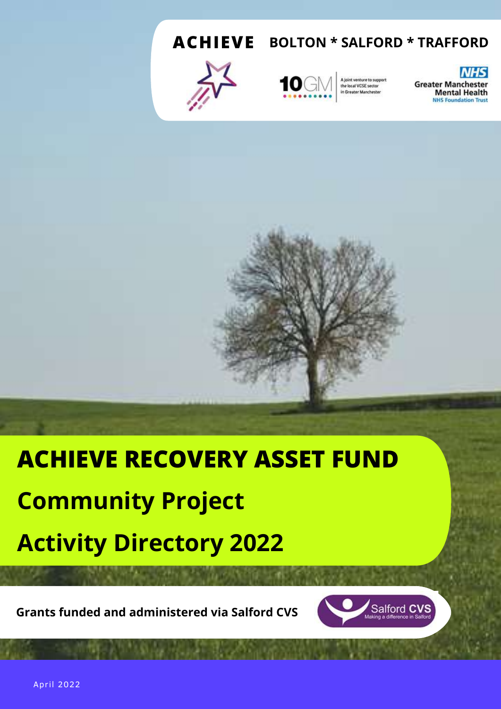**ACHIEVE BOLTON \* SALFORD \* TRAFFORD**





A joint venture to support<br>the local VCSE sector in Greater Manchester

**NHS Greater Manchester Mental Health NHS Foundation Trust** 

# **ACHIEVE RECOVERY ASSET FUND Community Project Activity Directory 2022**

**Grants funded and administered via Salford CVS**



April 2022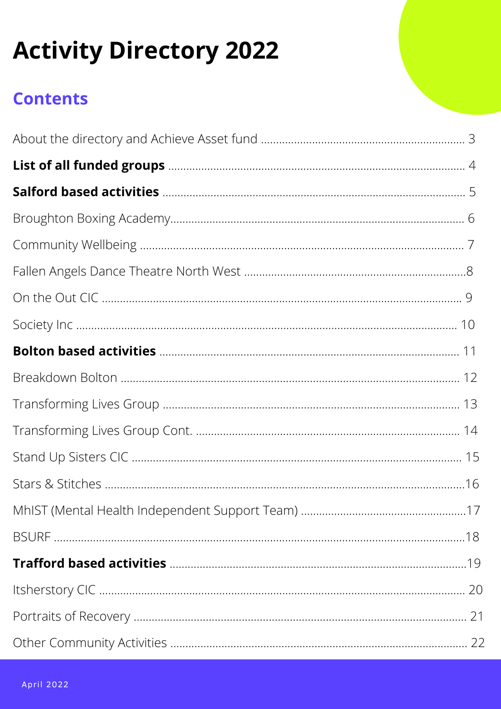# **Activity Directory 2022**

## **Contents**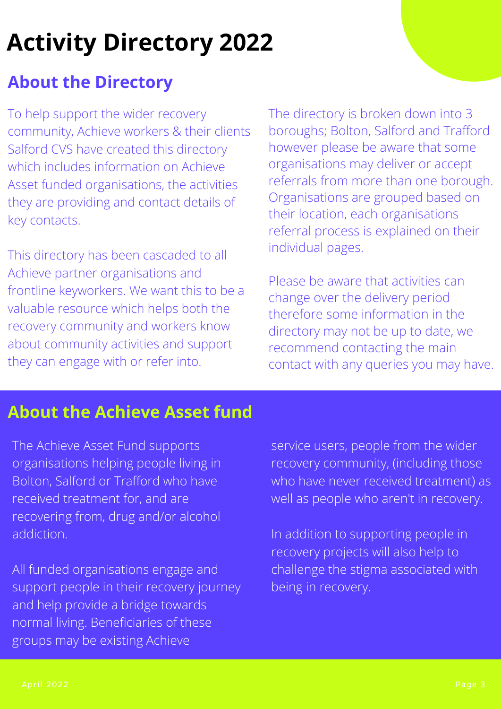# **Activity Directory 2022**

## **About the Directory**

To help support the wider recovery community, Achieve workers & their clients Salford CVS have created this directory which includes information on Achieve Asset funded organisations, the activities they are providing and contact details of key contacts.

This directory has been cascaded to all Achieve partner organisations and frontline keyworkers. We want this to be a valuable resource which helps both the recovery community and workers know about community activities and support they can engage with or refer into.

The directory is broken down into 3 boroughs; Bolton, Salford and Trafford however please be aware that some organisations may deliver or accept referrals from more than one borough. Organisations are grouped based on their location, each organisations referral process is explained on their individual pages.

Please be aware that activities can change over the delivery period therefore some information in the directory may not be up to date, we recommend contacting the main contact with any queries you may have.

## **About the Achieve Asset fund**

The Achieve Asset Fund supports organisations helping people living in Bolton, Salford or Trafford who have received treatment for, and are recovering from, drug and/or alcohol addiction.

All funded organisations engage and support people in their recovery journey and help provide a bridge towards normal living. Beneficiaries of these groups may be existing Achieve

service users, people from the wider recovery community, (including those who have never received treatment) as well as people who aren't in recovery.

In addition to supporting people in recovery projects will also help to challenge the stigma associated with being in recovery.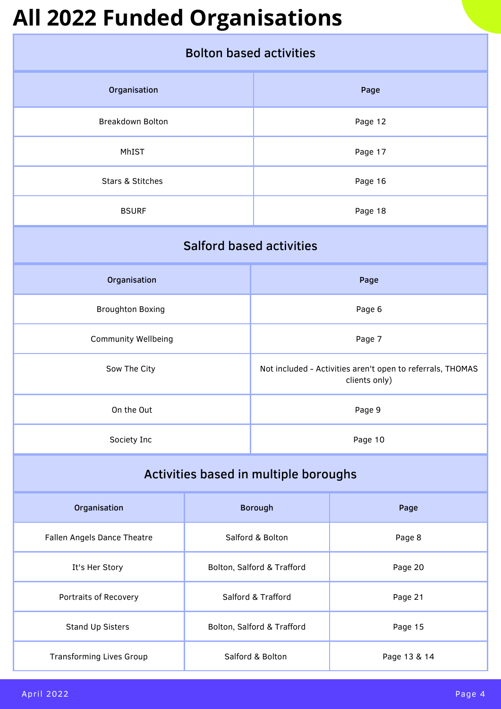# **All 2022 Funded Organisations**

| <b>Bolton based activities</b>        |                            |                                                                             |              |
|---------------------------------------|----------------------------|-----------------------------------------------------------------------------|--------------|
| Organisation                          |                            | Page                                                                        |              |
| <b>Breakdown Bolton</b>               |                            |                                                                             | Page 12      |
| MhIST                                 |                            | Page 17                                                                     |              |
| Stars & Stitches                      |                            | Page 16                                                                     |              |
| <b>BSURF</b>                          |                            |                                                                             | Page 18      |
| <b>Salford based activities</b>       |                            |                                                                             |              |
| Organisation                          |                            |                                                                             | Page         |
| <b>Broughton Boxing</b>               | Page 6                     |                                                                             |              |
| <b>Community Wellbeing</b>            | Page 7                     |                                                                             |              |
| Sow The City                          |                            | Not included - Activities aren't open to referrals, THOMAS<br>clients only) |              |
| On the Out                            | Page 9                     |                                                                             |              |
| Society Inc                           | Page 10                    |                                                                             |              |
| Activities based in multiple boroughs |                            |                                                                             |              |
| Organisation                          |                            | <b>Borough</b>                                                              | Page         |
| Fallen Angels Dance Theatre           | Salford & Bolton           |                                                                             | Page 8       |
| It's Her Story                        | Bolton, Salford & Trafford |                                                                             | Page 20      |
| Portraits of Recovery                 | Salford & Trafford         |                                                                             | Page 21      |
| Stand Up Sisters                      | Bolton, Salford & Trafford |                                                                             | Page 15      |
| <b>Transforming Lives Group</b>       | Salford & Bolton           |                                                                             | Page 13 & 14 |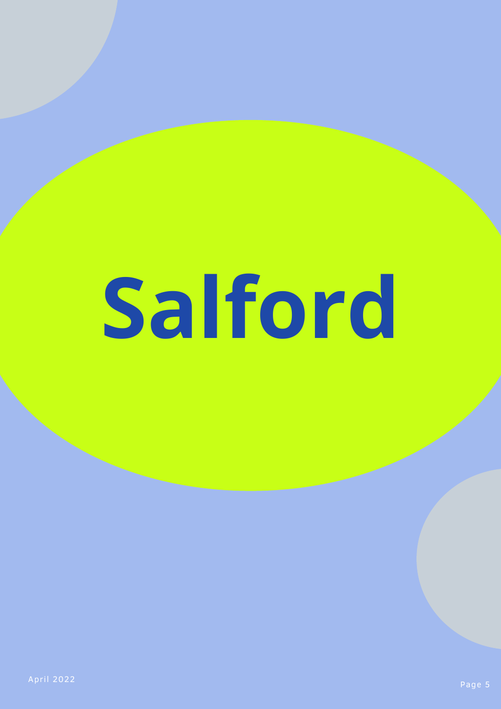# **Salford**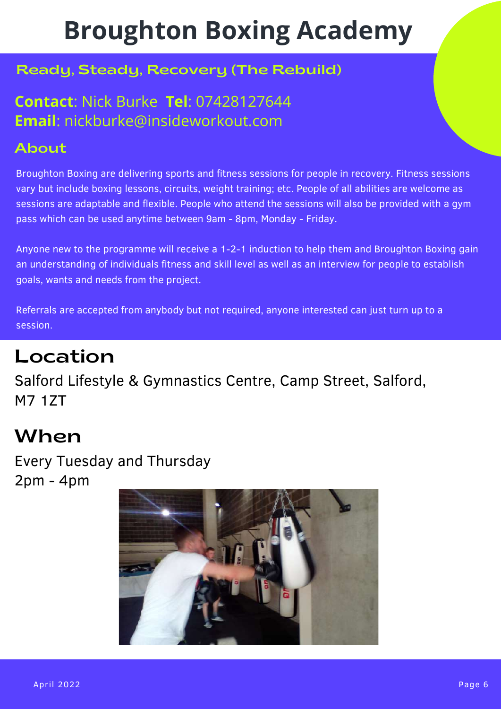# **Broughton Boxing Academy**

#### Ready, Steady, Recovery (The Rebuild)

#### **Contact**: Nick Burke **Tel**: 07428127644 **Email**: nickburke@insideworkout.com

#### About

Broughton Boxing are delivering sports and fitness sessions for people in recovery. Fitness sessions vary but include boxing lessons, circuits, weight training; etc. People of all abilities are welcome as sessions are adaptable and flexible. People who attend the sessions will also be provided with a gym pass which can be used anytime between 9am - 8pm, Monday - Friday.

Anyone new to the programme will receive a 1-2-1 induction to help them and Broughton Boxing gain an understanding of individuals fitness and skill level as well as an interview for people to establish goals, wants and needs from the project.

Referrals are accepted from anybody but not required, anyone interested can just turn up to a session.

## Location

Salford Lifestyle & Gymnastics Centre, Camp Street, Salford, M7 1ZT

## When

Every Tuesday and Thursday 2pm - 4pm

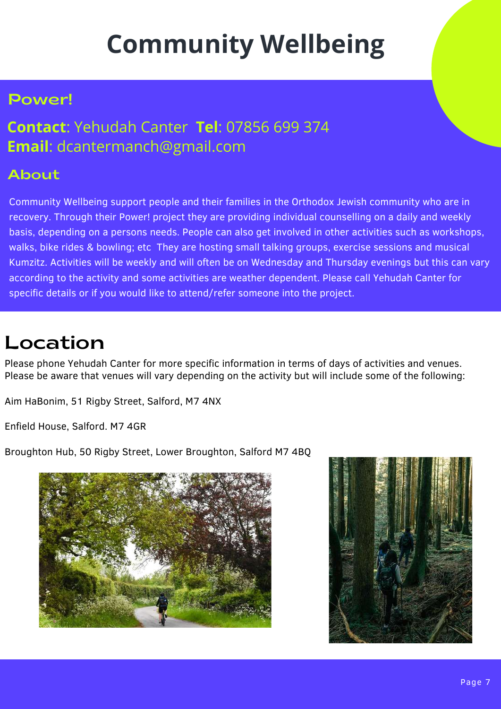# **Community Wellbeing**

#### Power!

#### **Contact**: Yehudah Canter **Tel**: 07856 699 374 **Email**: dcantermanch@gmail.com

#### About

Community Wellbeing support people and their families in the Orthodox Jewish community who are in recovery. Through their Power! project they are providing individual counselling on a daily and weekly basis, depending on a persons needs. People can also get involved in other activities such as workshops, walks, bike rides & bowling; etc They are hosting small talking groups, exercise sessions and musical Kumzitz. Activities will be weekly and will often be on Wednesday and Thursday evenings but this can vary according to the activity and some activities are weather dependent. Please call Yehudah Canter for specific details or if you would like to attend/refer someone into the project.

# Location

Please phone Yehudah Canter for more specific information in terms of days of activities and venues. Please be aware that venues will vary depending on the activity but will include some of the following:

Aim HaBonim, 51 Rigby Street, Salford, M7 4NX

Enfield House, Salford. M7 4GR

Broughton Hub, 50 Rigby Street, Lower Broughton, Salford M7 4BQ



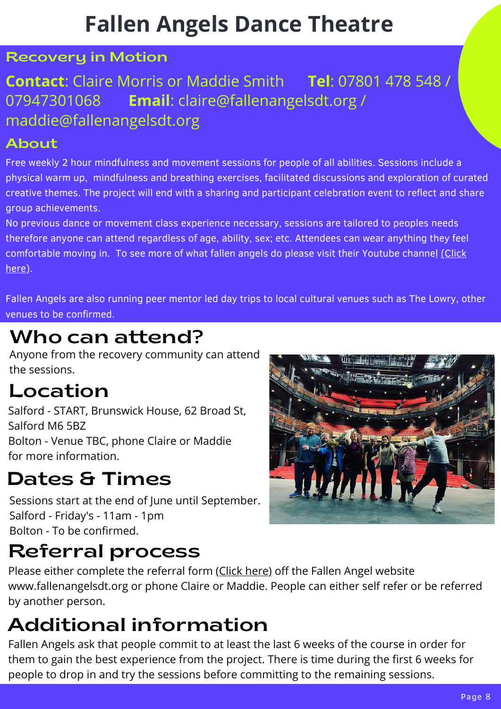# **Fallen Angels Dance Theatre**

#### Recovery in Motion

### **Contact**: Claire Morris or Maddie Smith **Tel**: 07801 478 548 / 07947301068 **Email**: claire@fallenangelsdt.org / maddie@fallenangelsdt.org

#### About

Free weekly 2 hour mindfulness and movement sessions for people of all abilities. Sessions include a physical warm up, mindfulness and breathing exercises, facilitated discussions and exploration of curated creative themes. The project will end with a sharing and participant celebration event to reflect and share group achievements.

No previous dance or movement class experience necessary, sessions are tailored to peoples needs therefore anyone can attend regardless of age, ability, sex; etc. Attendees can wear anything they feel comfortab[l](https://www.youtube.com/channel/UCCXbAVtkaU51gyLmVK5kdvg)e moving in. To see more of what fallen angels do please visit their Youtube channel [\(Click](https://www.youtube.com/channel/UCCXbAVtkaU51gyLmVK5kdvg) [here\).](https://www.youtube.com/channel/UCCXbAVtkaU51gyLmVK5kdvg)

Fallen Angels are also running peer mentor led day trips to local cultural venues such as The Lowry, other venues to be confirmed.

# Who can attend?

Anyone from the recovery community can attend the sessions.

## Location

Salford - START, Brunswick House, 62 Broad St, Salford M6 5BZ Bolton - Venue TBC, phone Claire or Maddie for more information.

# Dates & Times

Sessions start at the end of June until September. Salford - Friday's - 11am - 1pm Bolton - To be confirmed.

## Referral process

Please either complete the referral form (Click [here\)](https://fallenangelsdt.org/join-us/refer/) off the Fallen Angel website www.fallenangelsdt.org or phone Claire or Maddie. People can either self refer or be referred by another person.

# Additional information

April 2022 Fallen Angels ask that people commit to at least the last 6 weeks of the course in order for them to gain the best experience from the project. There is time during the first 6 weeks for people to drop in and try the sessions before committing to the remaining sessions.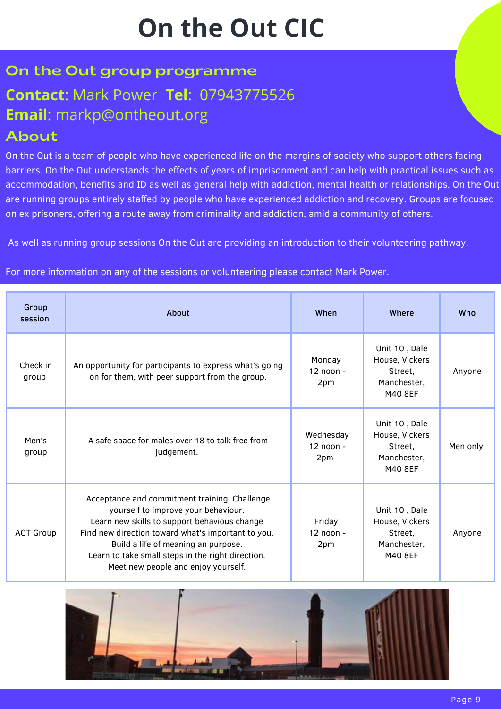# **On the Out CIC**

#### On the Out group programme

# **Contact**: Mark Power **Tel**: 07943775526 **Email**: markp@ontheout.org

#### About

On the Out is a team of people who have experienced life on the margins of society who support others facing barriers. On the Out understands the effects of years of imprisonment and can help with practical issues such as accommodation, benefits and ID as well as general help with addiction, mental health or relationships. On the Out are running groups entirely staffed by people who have experienced addiction and recovery. Groups are focused on ex prisoners, offering a route away from criminality and addiction, amid a community of others.

As well as running group sessions On the Out are providing an introduction to their volunteering pathway.

For more information on any of the sessions or volunteering please contact Mark Power.

| Group<br>session  | About                                                                                                                                                                                                                                                                                                                         | When                            | Where                                                                | Who      |
|-------------------|-------------------------------------------------------------------------------------------------------------------------------------------------------------------------------------------------------------------------------------------------------------------------------------------------------------------------------|---------------------------------|----------------------------------------------------------------------|----------|
| Check in<br>group | An opportunity for participants to express what's going<br>on for them, with peer support from the group.                                                                                                                                                                                                                     | Monday<br>$12$ noon -<br>2pm    | Unit 10, Dale<br>House, Vickers<br>Street,<br>Manchester,<br>M40 8EF | Anyone   |
| Men's<br>group    | A safe space for males over 18 to talk free from<br>judgement.                                                                                                                                                                                                                                                                | Wednesday<br>$12$ noon -<br>2pm | Unit 10, Dale<br>House, Vickers<br>Street,<br>Manchester,<br>M40 8EF | Men only |
| <b>ACT Group</b>  | Acceptance and commitment training. Challenge<br>yourself to improve your behaviour.<br>Learn new skills to support behavious change<br>Find new direction toward what's important to you.<br>Build a life of meaning an purpose.<br>Learn to take small steps in the right direction.<br>Meet new people and enjoy yourself. | Friday<br>$12$ noon -<br>2pm    | Unit 10, Dale<br>House, Vickers<br>Street,<br>Manchester,<br>M40 8EF | Anyone   |

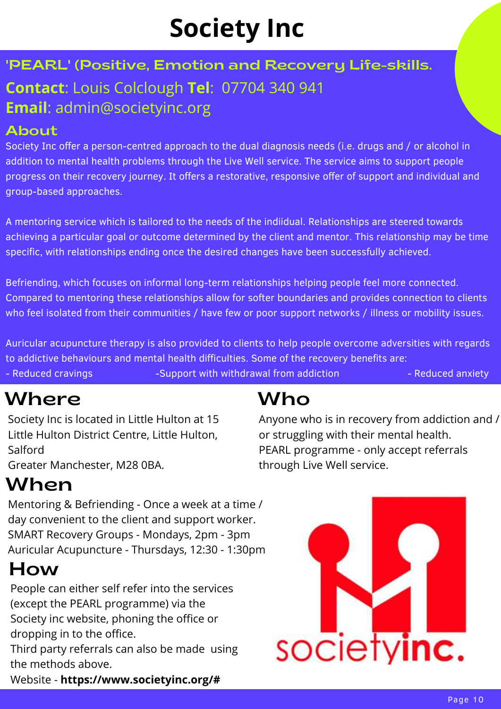# **Society Inc**

## 'PEARL' (Positive, Emotion and Recovery Life-skills. **Contact**: Louis Colclough **Tel**: 07704 340 941 **Email**: admin@societyinc.org

#### About

Society Inc offer a person-centred approach to the dual diagnosis needs (i.e. drugs and / or alcohol in addition to mental health problems through the Live Well service. The service aims to support people progress on their recovery journey. It offers a restorative, responsive offer of support and individual and group-based approaches.

A mentoring service which is tailored to the needs of the indiidual. Relationships are steered towards achieving a particular goal or outcome determined by the client and mentor. This relationship may be time specific, with relationships ending once the desired changes have been successfully achieved.

Befriending, which focuses on informal long-term relationships helping people feel more connected. Compared to mentoring these relationships allow for softer boundaries and provides connection to clients who feel isolated from their communities / have few or poor support networks / illness or mobility issues.

Auricular acupuncture therapy is also provided to clients to help people overcome adversities with regards to addictive behaviours and mental health difficulties. Some of the recovery benefits are: - Reduced cravings - Support with withdrawal from addiction - Reduced anxiety

## Where **where**

Society Inc is located in Little Hulton at 15 Little Hulton District Centre, Little Hulton, Salford

Greater Manchester, M28 0BA.

# When

Mentoring & Befriending - Once a week at a time / day convenient to the client and support worker. SMART Recovery Groups - Mondays, 2pm - 3pm Auricular Acupuncture - Thursdays, 12:30 - 1:30pm

# How

People can either self refer into the services (except the PEARL programme) via the Society inc website, phoning the office or dropping in to the office.

Third party referrals can also be made using the methods above.

April 2022 Website - **https://www.societyinc.org/#**

# Who

Anyone who is in recovery from addiction and / or struggling with their mental health. PEARL programme - only accept referrals through Live Well service.

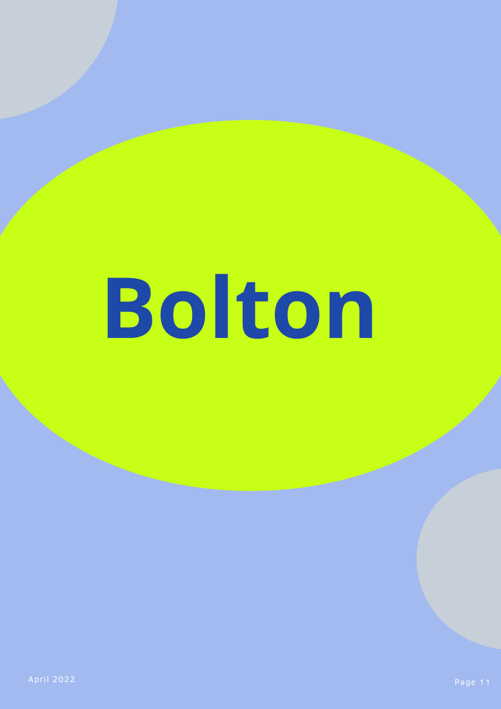# **Bolton**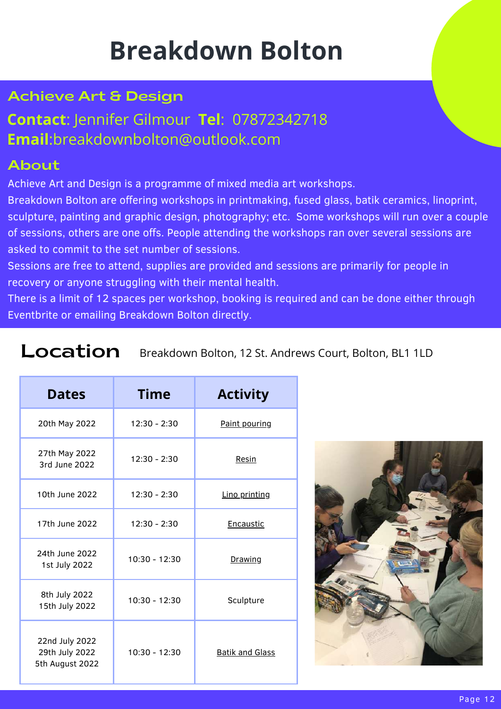# **Breakdown Bolton**

#### Achieve Art & Design

#### **Contact**: Jennifer Gilmour **Tel**: 07872342718 **Email**:breakdownbolton@outlook.com

#### About

Achieve Art and Design is a programme of mixed media art workshops.

Breakdown Bolton are offering workshops in printmaking, fused glass, batik ceramics, linoprint, sculpture, painting and graphic design, photography; etc. Some workshops will run over a couple of sessions, others are one offs. People attending the workshops ran over several sessions are asked to commit to the set number of sessions.

Sessions are free to attend, supplies are provided and sessions are primarily for people in recovery or anyone struggling with their mental health.

There is a limit of 12 spaces per workshop, booking is required and can be done either through Eventbrite or emailing Breakdown Bolton directly.

#### Location Breakdown Bolton, 12 St. Andrews Court, Bolton, BL1 1LD

| <b>Dates</b>                                        | <b>Time</b>     | <b>Activity</b>        |
|-----------------------------------------------------|-----------------|------------------------|
| 20th May 2022                                       | $12:30 - 2:30$  | Paint pouring          |
| 27th May 2022<br>3rd June 2022                      | $12:30 - 2:30$  | Resin                  |
| 10th June 2022                                      | $12:30 - 2:30$  | Lino printing          |
| 17th June 2022                                      | $12:30 - 2:30$  | <b>Encaustic</b>       |
| 24th June 2022<br>1st July 2022                     | 10:30 - 12:30   | <b>Drawing</b>         |
| 8th July 2022<br>15th July 2022                     | 10:30 - 12:30   | Sculpture              |
| 22nd July 2022<br>29th July 2022<br>5th August 2022 | $10:30 - 12:30$ | <b>Batik and Glass</b> |

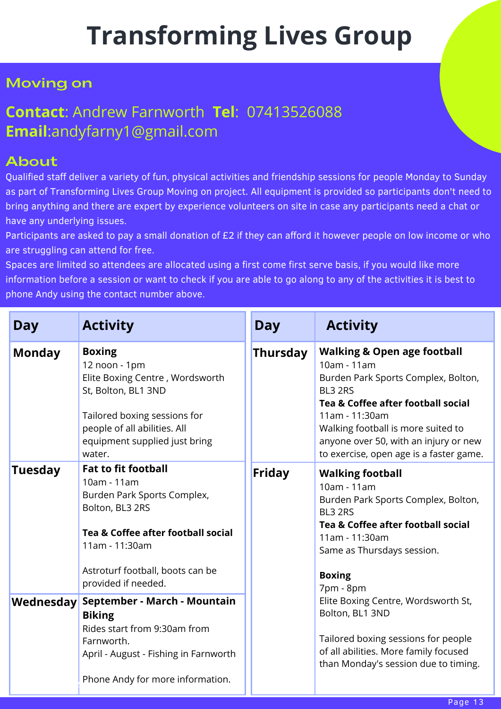# **Transforming Lives Group**

#### Moving on

#### **Contact**: Andrew Farnworth **Tel**: 07413526088 **Email**:andyfarny1@gmail.com

#### About

Qualified staff deliver a variety of fun, physical activities and friendship sessions for people Monday to Sunday as part of Transforming Lives Group Moving on project. All equipment is provided so participants don't need to bring anything and there are expert by experience volunteers on site in case any participants need a chat or have any underlying issues.

Participants are asked to pay a small donation of £2 if they can afford it however people on low income or who are struggling can attend for free.

Spaces are limited so attendees are allocated using a first come first serve basis, if you would like more information before a session or want to check if you are able to go along to any of the activities it is best to phone Andy using the contact number above.

| <b>Day</b>     | <b>Activity</b>                                                                                                                                                                                                | <b>Day</b>      | <b>Activity</b>                                                                                                                                                                                                                                                                           |
|----------------|----------------------------------------------------------------------------------------------------------------------------------------------------------------------------------------------------------------|-----------------|-------------------------------------------------------------------------------------------------------------------------------------------------------------------------------------------------------------------------------------------------------------------------------------------|
| <b>Monday</b>  | <b>Boxing</b><br>12 noon - 1pm<br>Elite Boxing Centre, Wordsworth<br>St, Bolton, BL1 3ND<br>Tailored boxing sessions for<br>people of all abilities. All<br>equipment supplied just bring<br>water.            | <b>Thursday</b> | <b>Walking &amp; Open age football</b><br>10am - 11am<br>Burden Park Sports Complex, Bolton,<br>BL3 2RS<br>Tea & Coffee after football social<br>11am - 11:30am<br>Walking football is more suited to<br>anyone over 50, with an injury or new<br>to exercise, open age is a faster game. |
| <b>Tuesday</b> | <b>Fat to fit football</b><br>10am - 11am<br>Burden Park Sports Complex,<br>Bolton, BL3 2RS<br>Tea & Coffee after football social<br>11am - 11:30am<br>Astroturf football, boots can be<br>provided if needed. | <b>Friday</b>   | <b>Walking football</b><br>10am - 11am<br>Burden Park Sports Complex, Bolton,<br>BL3 2RS<br>Tea & Coffee after football social<br>11am - 11:30am<br>Same as Thursdays session.<br><b>Boxing</b><br>7pm - 8pm                                                                              |
| Wednesday      | September - March - Mountain<br><b>Biking</b><br>Rides start from 9:30am from<br>Farnworth.<br>April - August - Fishing in Farnworth<br>Phone Andy for more information.                                       |                 | Elite Boxing Centre, Wordsworth St,<br>Bolton, BL1 3ND<br>Tailored boxing sessions for people<br>of all abilities. More family focused<br>than Monday's session due to timing.<br>Page 13                                                                                                 |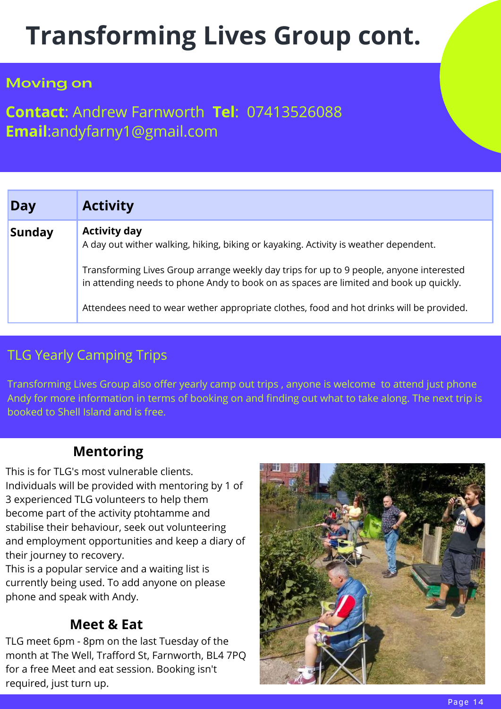# **Transforming Lives Group cont.**

#### Moving on

#### **Contact**: Andrew Farnworth **Tel**: 07413526088 **Email**:andyfarny1@gmail.com

| Day           | <b>Activity</b>                                                                                                                                                                   |
|---------------|-----------------------------------------------------------------------------------------------------------------------------------------------------------------------------------|
| <b>Sunday</b> | <b>Activity day</b><br>A day out wither walking, hiking, biking or kayaking. Activity is weather dependent.                                                                       |
|               | Transforming Lives Group arrange weekly day trips for up to 9 people, anyone interested<br>in attending needs to phone Andy to book on as spaces are limited and book up quickly. |
|               | Attendees need to wear wether appropriate clothes, food and hot drinks will be provided.                                                                                          |

#### TLG Yearly Camping Trips

Transforming Lives Group also offer yearly camp out trips , anyone is welcome to attend just phone Andy for more information in terms of booking on and finding out what to take along. The next trip is booked to Shell Island and is free.

#### **Mentoring**

This is for TLG's most vulnerable clients. Individuals will be provided with mentoring by 1 of 3 experienced TLG volunteers to help them become part of the activity ptohtamme and stabilise their behaviour, seek out volunteering and employment opportunities and keep a diary of their journey to recovery.

This is a popular service and a waiting list is currently being used. To add anyone on please phone and speak with Andy.

#### **Meet & Eat**

required, just turn up. TLG meet 6pm - 8pm on the last Tuesday of the month at The Well, Trafford St, Farnworth, BL4 7PQ for a free Meet and eat session. Booking isn't

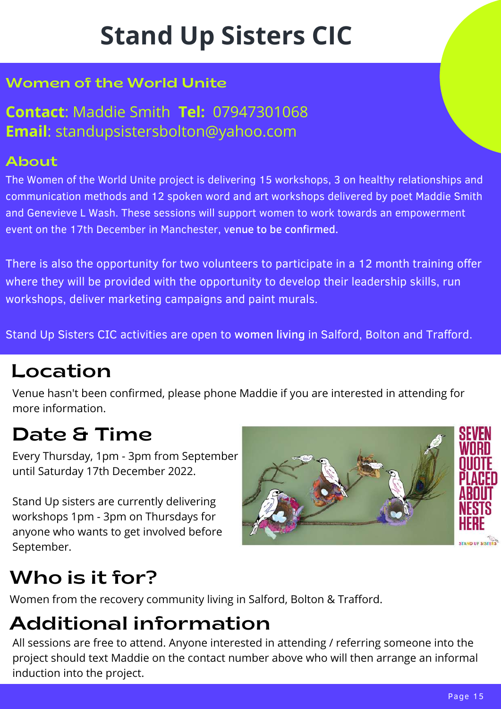# **Stand Up Sisters CIC**

#### Women of the World Unite

**Contact**: Maddie Smith **Tel:** 07947301068 **Email**: standupsistersbolton@yahoo.com

#### About

The Women of the World Unite project is delivering 15 workshops, 3 on healthy relationships and communication methods and 12 spoken word and art workshops delivered by poet Maddie Smith and Genevieve L Wash. These sessions will support women to work towards an empowerment event on the 17th December in Manchester, venue to be confirmed.

There is also the opportunity for two volunteers to participate in a 12 month training offer where they will be provided with the opportunity to develop their leadership skills, run workshops, deliver marketing campaigns and paint murals.

Stand Up Sisters CIC activities are open to women living in Salford, Bolton and Trafford.

## Location

Venue hasn't been confirmed, please phone Maddie if you are interested in attending for more information.

# Date & Time

Every Thursday, 1pm - 3pm from September until Saturday 17th December 2022.

Stand Up sisters are currently delivering workshops 1pm - 3pm on Thursdays for anyone who wants to get involved before September.



# Who is it for?

Women from the recovery community living in Salford, Bolton & Trafford.

# Additional information

April 2022 All sessions are free to attend. Anyone interested in attending / referring someone into the project should text Maddie on the contact number above who will then arrange an informal induction into the project.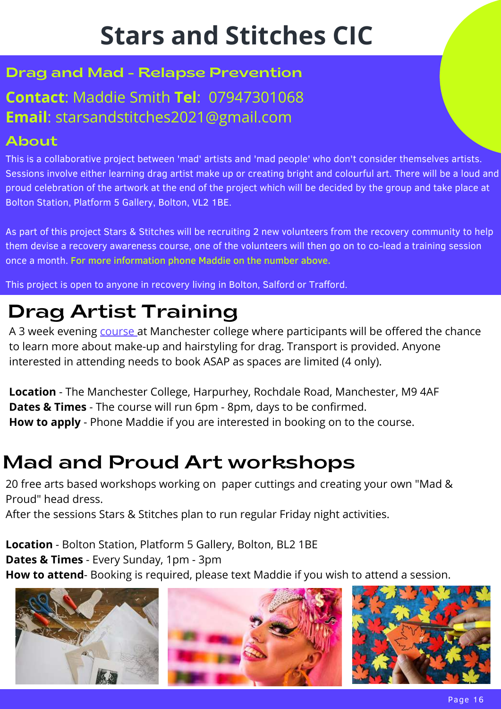# **Stars and Stitches CIC**

#### Drag and Mad - Relapse Prevention

## **Contact**: Maddie Smith **Tel**: 07947301068 **Email**: starsandstitches2021@gmail.com

#### About

This is a collaborative project between 'mad' artists and 'mad people' who don't consider themselves artists. Sessions involve either learning drag artist make up or creating bright and colourful art. There will be a loud and proud celebration of the artwork at the end of the project which will be decided by the group and take place at Bolton Station, Platform 5 Gallery, Bolton, VL2 1BE.

As part of this project Stars & Stitches will be recruiting 2 new volunteers from the recovery community to help them devise a recovery awareness course, one of the volunteers will then go on to co-lead a training session once a month. For more information phone Maddie on the number above.

This project is open to anyone in recovery living in Bolton, Salford or Trafford.

# Drag Artist Training

A 3 week evening [course](https://www.tmc.ac.uk/courses/drag-artist-hair-and-make/) at Manchester college where participants will be offered the chance to learn more about make-up and hairstyling for drag. Transport is provided. Anyone interested in attending needs to book ASAP as spaces are limited (4 only).

**Location** - The Manchester College, Harpurhey, Rochdale Road, Manchester, M9 4AF **Dates & Times** - The course will run 6pm - 8pm, days to be confirmed. **How to apply** - Phone Maddie if you are interested in booking on to the course.

# Mad and Proud Art workshops

20 free arts based workshops working on paper cuttings and creating your own "Mad & Proud" head dress.

After the sessions Stars & Stitches plan to run regular Friday night activities.

**Location** - Bolton Station, Platform 5 Gallery, Bolton, BL2 1BE **Dates & Times** - Every Sunday, 1pm - 3pm **How to attend**- Booking is required, please text Maddie if you wish to attend a session.

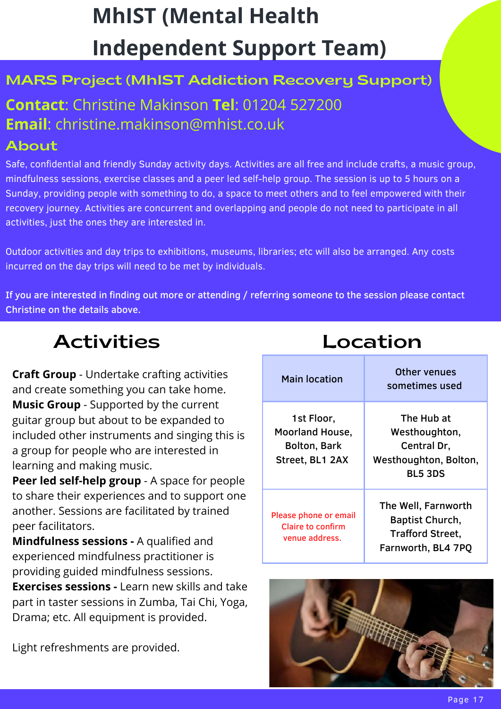# **MhIST (Mental Health Independent Support Team)**

#### MARS Project (MhIST Addiction Recovery Support)

## **Contact**: Christine Makinson **Tel**: 01204 527200 **Email**: christine.makinson@mhist.co.uk

#### About

Safe, confidential and friendly Sunday activity days. Activities are all free and include crafts, a music group, mindfulness sessions, exercise classes and a peer led self-help group. The session is up to 5 hours on a Sunday, providing people with something to do, a space to meet others and to feel empowered with their recovery journey. Activities are concurrent and overlapping and people do not need to participate in all activities, just the ones they are interested in.

Outdoor activities and day trips to exhibitions, museums, libraries; etc will also be arranged. Any costs incurred on the day trips will need to be met by individuals.

If you are interested in finding out more or attending / referring someone to the session please contact Christine on the details above.

## Activities Location

**Craft Group** - Undertake crafting activities and create something you can take home. **Music Group** - Supported by the current guitar group but about to be expanded to included other instruments and singing this is a group for people who are interested in learning and making music.

**Peer led self-help group** - A space for people to share their experiences and to support one another. Sessions are facilitated by trained peer facilitators.

**Mindfulness sessions -** A qualified and experienced mindfulness practitioner is providing guided mindfulness sessions.

**Exercises sessions -** Learn new skills and take part in taster sessions in Zumba, Tai Chi, Yoga, Drama; etc. All equipment is provided.

Light refreshments are provided.

| <b>Main location</b>                                                           | Other venues<br>sometimes used                                                          |
|--------------------------------------------------------------------------------|-----------------------------------------------------------------------------------------|
| 1st Floor,<br><b>Moorland House,</b><br><b>Bolton, Bark</b><br>Street, BL1 2AX | The Hub at<br>Westhoughton,<br>Central Dr,<br>Westhoughton, Bolton,<br><b>BL5 3DS</b>   |
| Please phone or email<br><b>Claire to confirm</b><br>venue address.            | The Well, Farnworth<br>Baptist Church,<br><b>Trafford Street,</b><br>Farnworth, BL4 7PQ |

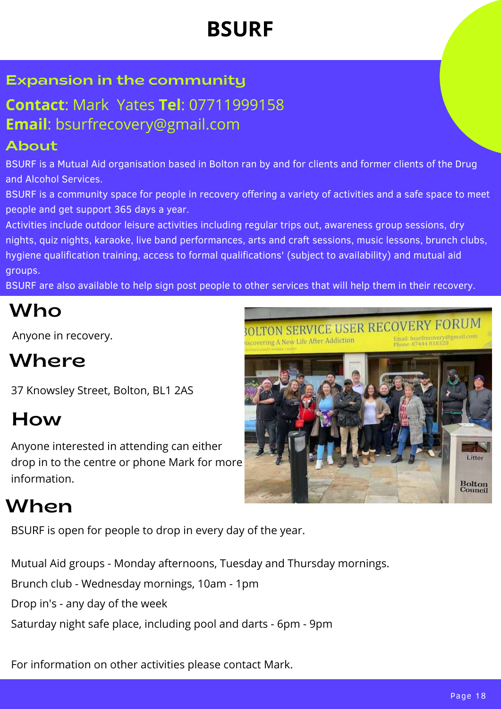# **BSURF**

#### Expansion in the community

#### **Contact**: Mark Yates **Tel**: 07711999158 **Email**: bsurfrecovery@gmail.com

#### About

BSURF is a Mutual Aid organisation based in Bolton ran by and for clients and former clients of the Drug and Alcohol Services.

BSURF is a community space for people in recovery offering a variety of activities and a safe space to meet people and get support 365 days a year.

Activities include outdoor leisure activities including regular trips out, awareness group sessions, dry nights, quiz nights, karaoke, live band performances, arts and craft sessions, music lessons, brunch clubs, hygiene qualification training, access to formal qualifications' (subject to availability) and mutual aid groups.

BSURF are also available to help sign post people to other services that will help them in their recovery.

## Who

Anyone in recovery.

# Where

37 Knowsley Street, Bolton, BL1 2AS

# How

Anyone interested in attending can either drop in to the centre or phone Mark for more information.

# When

BSURF is open for people to drop in every day of the year.

Mutual Aid groups - Monday afternoons, Tuesday and Thursday mornings.

Brunch club - Wednesday mornings, 10am - 1pm

Drop in's - any day of the week

Saturday night safe place, including pool and darts - 6pm - 9pm

For information on other activities please contact Mark.

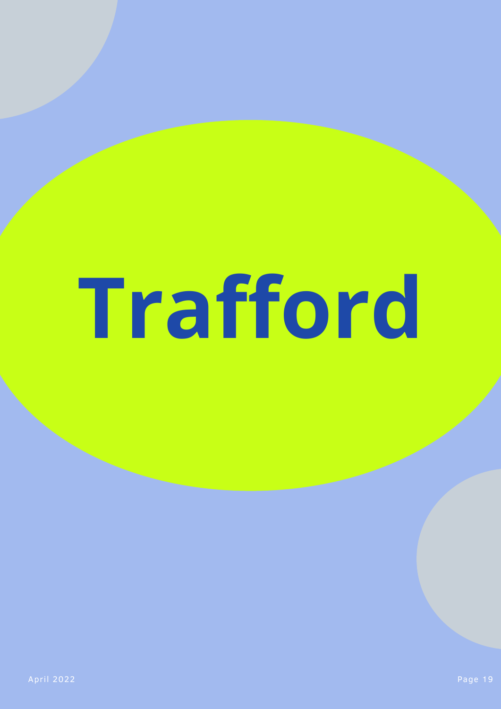# **Trafford**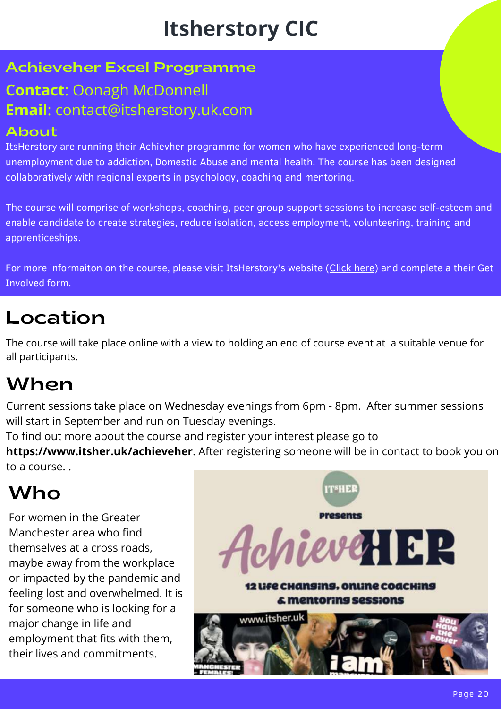# **Itsherstory CIC**

#### Achieveher Excel Programme

#### **Contact**: Oonagh McDonnell **Email**: contact@itsherstory.uk.com

#### About

ItsHerstory are running their Achievher programme for women who have experienced long-term unemployment due to addiction, Domestic Abuse and mental health. The course has been designed collaboratively with regional experts in psychology, coaching and mentoring.

The course will comprise of workshops, coaching, peer group support sessions to increase self-esteem and enable candidate to create strategies, reduce isolation, access employment, volunteering, training and apprenticeships.

For more informaiton on the course, please visit ItsHerstory's website ([Click here](https://www.itsher.uk/achieveher)) and complete a their Get Involved form.

## Location

The course will take place online with a view to holding an end of course event at a suitable venue for all participants.

# When

Current sessions take place on Wednesday evenings from 6pm - 8pm. After summer sessions will start in September and run on Tuesday evenings.

To find out more about the course and register your interest please go to

**[https://www.itsher.uk/achieveher](https://url6b.mailanyone.net/v1/?m=1nrJCa-00071h-5x&i=57e1b682&c=0oGuZ6Qca6rLdk5Xc34HmDzn9RUv7J7WE_bqcO5gAs0SG8hoEXGe6LFKjWobRU_0AGJNa0hWZnsqOE4jwn88aUJM2B1DFyqsq8wNEnaoBO-S1nQvkSsyKzIuAjt3jQMa4YXPmuRntw3X4ZgDy4ATskNNvq_G56_tMYIERtJLiQrPAAdifgz3lm61ldgSCVpqM5C7sIBa0dNepV0i3Z6vzA)**. After registering someone will be in contact to book you on to a course. .

# Who

For women in the Greater Manchester area who find themselves at a cross roads, maybe away from the workplace or impacted by the pandemic and feeling lost and overwhelmed. It is for someone who is looking for a major change in life and employment that fits with them, their lives and commitments.

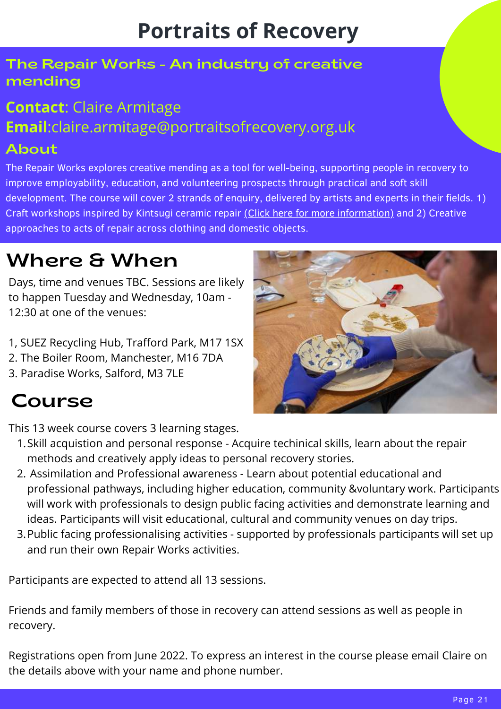# **Portraits of Recovery**

#### The Repair Works - An industry of creative mending

# **Contact**: Claire Armitage **Email**:claire.armitage@portraitsofrecovery.org.uk

#### About

The Repair Works explores creative mending as a tool for well-being, supporting people in recovery to improve employability, education, and volunteering prospects through practical and soft skill development. The course will cover 2 strands of enquiry, delivered by artists and experts in their fields. 1) Craft workshops inspired by Kintsugi ceramic repair [\(Click here for more information\)](https://www.portraitsofrecovery.org.uk/news-and-events/kintsugi-inspired-ceramic-reconstructions/) and 2) Creative approaches to acts of repair across clothing and domestic objects.

# Where & When

Days, time and venues TBC. Sessions are likely to happen Tuesday and Wednesday, 10am - 12:30 at one of the venues:

- 1, SUEZ Recycling Hub, Trafford Park, M17 1SX
- 2. The Boiler Room, Manchester, M16 7DA
- 3. Paradise Works, Salford, M3 7LE

# Course

This 13 week course covers 3 learning stages.

- 1. Skill acquistion and personal response Acquire techinical skills, learn about the repair methods and creatively apply ideas to personal recovery stories.
- Assimilation and Professional awareness Learn about potential educational and 2. professional pathways, including higher education, community &voluntary work. Participants will work with professionals to design public facing activities and demonstrate learning and ideas. Participants will visit educational, cultural and community venues on day trips.
- 3. Public facing professionalising activities supported by professionals participants will set up and run their own Repair Works activities.

Participants are expected to attend all 13 sessions.

Friends and family members of those in recovery can attend sessions as well as people in recovery.

Registrations open from June 2022. To express an interest in the course please email Claire on the details above with your name and phone number.